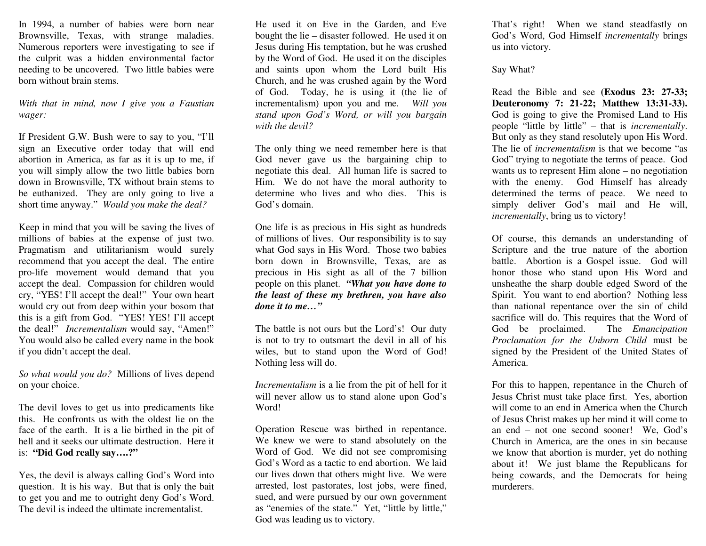In 1994, a number of babies were born near Brownsville, Texas, with strange maladies. Numerous reporters were investigating to see if the culprit was a hidden environmental factor needing to be uncovered. Two little babies were born without brain stems.

*With that in mind, now I give you a Faustian wager:* 

If President G.W. Bush were to say to you, "I'll sign an Executive order today that will end abortion in America, as far as it is up to me, if you will simply allow the two little babies born down in Brownsville, TX without brain stems to be euthanized. They are only going to live a short time anyway." *Would you make the deal?* 

Keep in mind that you will be saving the lives of millions of babies at the expense of just two. Pragmatism and utilitarianism would surely recommend that you accept the deal. The entire pro-life movement would demand that you accept the deal. Compassion for children would cry, "YES! I'll accept the deal!" Your own heart would cry out from deep within your bosom that this is a gift from God. "YES! YES! I'll accept the deal!" *Incrementalism* would say, "Amen!" You would also be called every name in the book if you didn't accept the deal.

*So what would you do?* Millions of lives depend on your choice.

The devil loves to get us into predicaments like this. He confronts us with the oldest lie on the face of the earth. It is a lie birthed in the pit of hell and it seeks our ultimate destruction. Here it is: **"Did God really say….?"** 

Yes, the devil is always calling God's Word into question. It is his way. But that is only the bait to get you and me to outright deny God's Word. The devil is indeed the ultimate incrementalist.

He used it on Eve in the Garden, and Eve bought the lie – disaster followed. He used it on Jesus during His temptation, but he was crushed by the Word of God. He used it on the disciples and saints upon whom the Lord built His Church, and he was crushed again by the Word of God. Today, he is using it (the lie of incrementalism) upon you and me. *Will you stand upon God's Word, or will you bargain with the devil?*

The only thing we need remember here is that God never gave us the bargaining chip to negotiate this deal. All human life is sacred to Him. We do not have the moral authority to determine who lives and who dies. This is God's domain.

One life is as precious in His sight as hundreds of millions of lives. Our responsibility is to say what God says in His Word. Those two babies born down in Brownsville, Texas, are as precious in His sight as all of the 7 billion people on this planet. *"What you have done to the least of these my brethren, you have also done it to me…"* 

The battle is not ours but the Lord's! Our duty is not to try to outsmart the devil in all of his wiles, but to stand upon the Word of God! Nothing less will do.

*Incrementalism* is a lie from the pit of hell for it will never allow us to stand alone upon God's Word!

Operation Rescue was birthed in repentance. We knew we were to stand absolutely on the Word of God. We did not see compromising God's Word as a tactic to end abortion. We laid our lives down that others might live. We were arrested, lost pastorates, lost jobs, were fined, sued, and were pursued by our own government as "enemies of the state." Yet, "little by little," God was leading us to victory.

That's right! When we stand steadfastly on God's Word, God Himself *incrementally* brings us into victory.

### Say What?

Read the Bible and see **(Exodus 23: 27-33; Deuteronomy 7: 21-22; Matthew 13:31-33).** God is going to give the Promised Land to His people "little by little" – that is *incrementally*. But only as they stand resolutely upon His Word. The lie of *incrementalism* is that we become "as God" trying to negotiate the terms of peace. God wants us to represent Him alone – no negotiation with the enemy. God Himself has already determined the terms of peace. We need to simply deliver God's mail and He will, *incrementally*, bring us to victory!

Of course, this demands an understanding of Scripture and the true nature of the abortion battle. Abortion is a Gospel issue. God will honor those who stand upon His Word and unsheathe the sharp double edged Sword of the Spirit. You want to end abortion? Nothing less than national repentance over the sin of child sacrifice will do. This requires that the Word of God be proclaimed. The *Emancipation Proclamation for the Unborn Child* must be signed by the President of the United States of America.

For this to happen, repentance in the Church of Jesus Christ must take place first. Yes, abortion will come to an end in America when the Church of Jesus Christ makes up her mind it will come to an end – not one second sooner! We, God's Church in America, are the ones in sin because we know that abortion is murder, yet do nothing about it! We just blame the Republicans for being cowards, and the Democrats for being murderers.